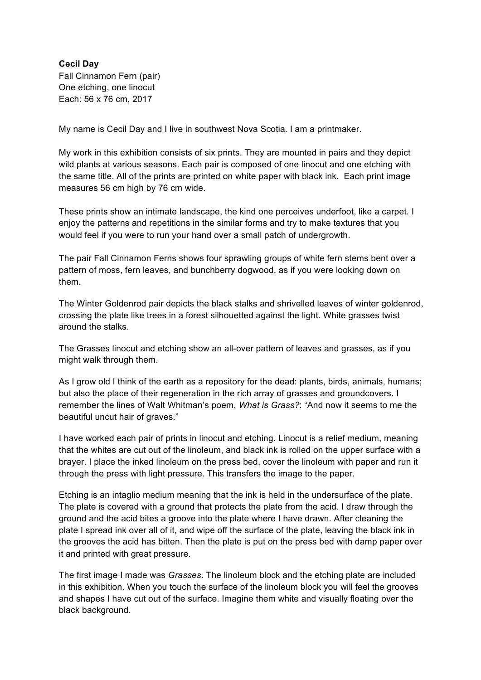Fall Cinnamon Fern (pair) One etching, one linocut Each: 56 x 76 cm, 2017 **Cecil Day** 

My name is Cecil Day and I live in southwest Nova Scotia. I am a printmaker.

 My work in this exhibition consists of six prints. They are mounted in pairs and they depict wild plants at various seasons. Each pair is composed of one linocut and one etching with the same title. All of the prints are printed on white paper with black ink. Each print image measures 56 cm high by 76 cm wide.

 These prints show an intimate landscape, the kind one perceives underfoot, like a carpet. I enjoy the patterns and repetitions in the similar forms and try to make textures that you would feel if you were to run your hand over a small patch of undergrowth.

 The pair Fall Cinnamon Ferns shows four sprawling groups of white fern stems bent over a pattern of moss, fern leaves, and bunchberry dogwood, as if you were looking down on them.

 The Winter Goldenrod pair depicts the black stalks and shrivelled leaves of winter goldenrod, crossing the plate like trees in a forest silhouetted against the light. White grasses twist around the stalks.

 The Grasses linocut and etching show an all-over pattern of leaves and grasses, as if you might walk through them.

 As I grow old I think of the earth as a repository for the dead: plants, birds, animals, humans; but also the place of their regeneration in the rich array of grasses and groundcovers. I remember the lines of Walt Whitman's poem, *What is Grass?*: "And now it seems to me the beautiful uncut hair of graves."

 that the whites are cut out of the linoleum, and black ink is rolled on the upper surface with a brayer. I place the inked linoleum on the press bed, cover the linoleum with paper and run it I have worked each pair of prints in linocut and etching. Linocut is a relief medium, meaning through the press with light pressure. This transfers the image to the paper.

 Etching is an intaglio medium meaning that the ink is held in the undersurface of the plate. The plate is covered with a ground that protects the plate from the acid. I draw through the ground and the acid bites a groove into the plate where I have drawn. After cleaning the plate I spread ink over all of it, and wipe off the surface of the plate, leaving the black ink in it and printed with great pressure. the grooves the acid has bitten. Then the plate is put on the press bed with damp paper over

 The first image I made was *Grasses*. The linoleum block and the etching plate are included in this exhibition. When you touch the surface of the linoleum block you will feel the grooves and shapes I have cut out of the surface. Imagine them white and visually floating over the black background.